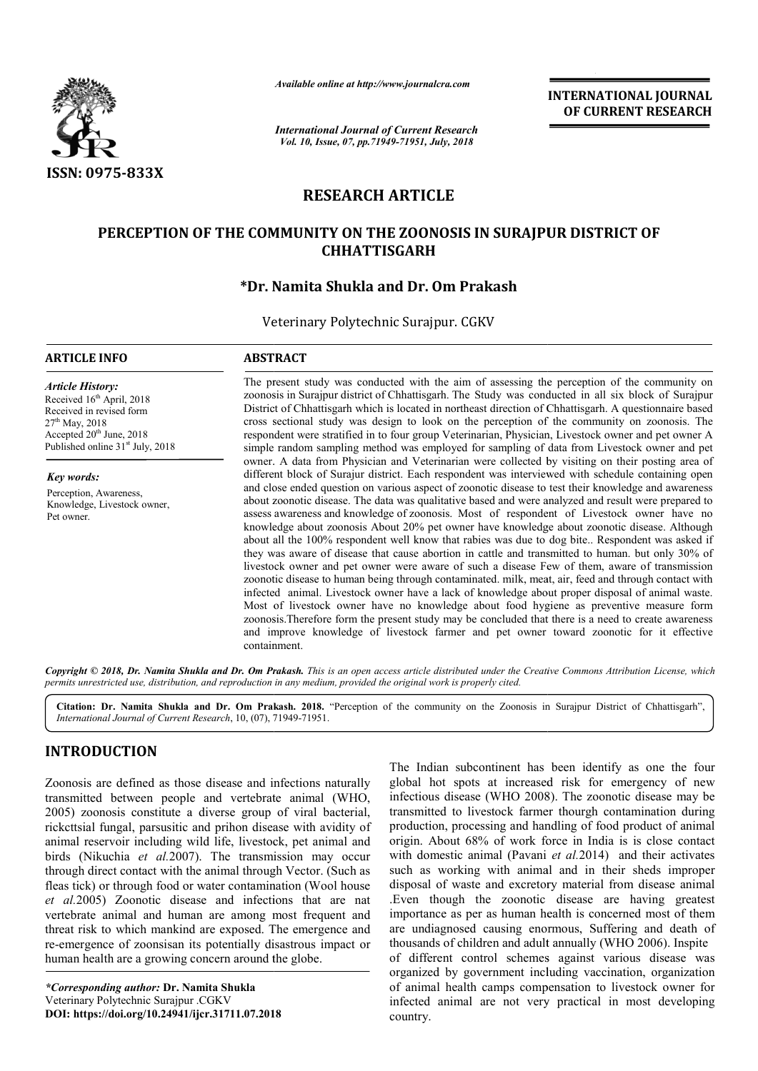

*Available online at http://www.journalcra.com*

*International Journal of Current Research Vol. 10, Issue, 07, pp.71949-71951, July, 2018*

**INTERNATIONAL JOURNAL OF CURRENT RESEARCH**

# **RESEARCH ARTICLE**

# **PERCEPTION OF THE COMMUNITY ON THE ZOONOSIS IN SURAJPUR DISTRICT OF COMMUNITY ON THE ZOONOSIS IN SURAJPUR DISTRICT OF CHHATTISGARH**

# **\*Dr. Namita Shukla and Dr Dr. Om Prakash**

Veterinary Polytechnic Surajpur. CGKV

#### **ARTICLE INFO ABSTRACT**

*Article History:* Received 16<sup>th</sup> April, 2018 Received in revised form 27th May, 2018 Accepted  $20<sup>th</sup>$  June,  $2018$ Published online 31<sup>st</sup> July, 2018

*Key words:* Perception, Awareness, Knowledge, Livestock owner, Pet owner.

The present study was conducted with the aim of assessing the perception of the community on zoonosis in Surajpur district of Chhattisgarh. The Study was conducted in all six block of Surajpur District of Chhattisgarh which is located in northeast direction of Chhattisgarh. A questionnaire based cross sectional study was design to look on the perception of the community on zoonosis. The respondent were stratified in to four group Veterinarian, Physician, Livestock owner and pet owner A simple random sampling method was employed for sampling of data from Livestock owner and owner. A data from Physician and Veterinarian were collected by visiting on their posting area of owner. A data from Physician and Veterinarian were collected by visiting on their posting area of different block of Surajur district. Each respondent was interviewed with schedule containing open and close ended question on various aspect of zoonotic disease to test their knowledge and awareness about zoonotic disease. The data was qualitative based and were analyzed and result were prepared to assess awareness and knowledge of zoonosis. Most of respondent of Livestock owner have no knowledge about zoonosis About 20% pet owner have knowledge about zoonotic disease. Although about all the 100% respondent well know that rabies was due to dog bite.. Respondent was asked if they was aware of disease that cause abortion in cattle and transmitted to human. but only 30% of they was aware of disease that cause abortion in cattle and transmitted to human. but only 30% of livestock owner and pet owner were aware of such a disease Few of them, aware of transmission zoonotic disease to human being through contaminated. milk, meat, air, feed and through contact with infected animal. Livestock owner have a lack of knowledge about proper disposal of animal waste. Most of livestock owner have no knowledge about food hygiene as preventive measure form infected animal. Livestock owner have a lack of knowledge about proper disposal of animal waste.<br>Most of livestock owner have no knowledge about food hygiene as preventive measure form<br>zoonosis.Therefore form the present s and improve knowledge of livestock farmer and pet owner toward zoonotic for it effective containment. The present study was conducted with the aim of assessing the perception of the community on zoonosis in Surajpur district of Chhattisgarh. The Study was conducted in all six block of Surajpur District of Chhattisgarh whic and close ended question on various aspect of zoonotic disease to test their knowledge and awareness<br>about zoonotic disease. The data was qualitative based and were analyzed and result were prepared to<br>assess awareness and **EXERCT SOFT AND TOWALLY INTERNATIONAL JOURNAL**<br>
OF CURRENT RESEARCH<br>
To the solution of the community on<br>
The SIN SURAJPUR DISTRICT OF<br>
Prakash<br>
SIN SURAJPUR DISTRICT OF<br>
Prakash conducted in all six block of Surajpure<br>
t

Copyright © 2018, Dr. Namita Shukla and Dr. Om Prakash. This is an open access article distributed under the Creative Commons Attribution License, which permits unrestricted use, distribution, and reproduction in any medium, provided the original work is properly cited.

Citation: Dr. Namita Shukla and Dr. Om Prakash. 2018. "Perception of the community on the Zoonosis in Surajpur District of Chhattisgarh", *International Journal of Current Research*, 10, (07), 71949 71949-71951.

## **INTRODUCTION**

Zoonosis are defined as those disease and infections naturally transmitted between people and vertebrate animal ( (WHO, 2005) zoonosis constitute a diverse group of viral bacterial, rickcttsial fungal, parsusitic and prihon disease with avidity of animal reservoir including wild life, livestock, pet animal and birds (Nikuchia *et al.*2007). The transmission may occur through direct contact with the animal through Vector. (Such as fleas tick) or through food or water contamination (Wool house *et al.*2005) Zoonotic disease and infections that are nat vertebrate animal and human are among most frequent and threat risk to which mankind are exposed. The emergence and re-emergence of zoonsisan its potentially disastrous impact or human health are a growing concern around the globe globe.

*\*Corresponding author:* **Dr. Namita Shukla**  Veterinary Polytechnic Surajpur .CGKV **DOI: https://doi.org/10.24941/ijcr.31711.07.2018**

The Indian subcontinent has been identify as one the four<br>game intertebrate animal (WHO, infectious disase (WHO 2008). The zonontic disases my be<br>group of viral bacterial, transmitted to livestock farmer though contaminati global hot spots at increased risk for emergency of new The Indian subcontinent has been identify as one the four global hot spots at increased risk for emergency of new infectious disease (WHO 2008). The zoonotic disease may be transmitted to livestock farmer thourgh contamination during production, processing and handling of food product of animal transmitted to livestock farmer thourgh contamination during<br>production, processing and handling of food product of animal<br>origin. About 68% of work force in India is is close contact with domestic animal (Pavani *et al.*2014) and their activates such as working with animal and in their sheds improper disposal of waste and excretory material from disease animal .Even though the zoonotic disease are having greatest importance as per as human health is concerned most of them disposal of waste and excretory material from disease animal .<br>Even though the zoonotic disease are having greatest importance as per as human health is concerned most of them are undiagnosed causing enormous, Suffering an thousands of children and adult annually (WHO 2006). Inspite of different control schemes against various disease was organized by government including vaccination, organization of animal health camps compensation to livestock owner for infected animal are not very practical in most developing country. different control schemes against various disease was<br>ganized by government including vaccination, organization<br>animal health camps compensation to livestock owner for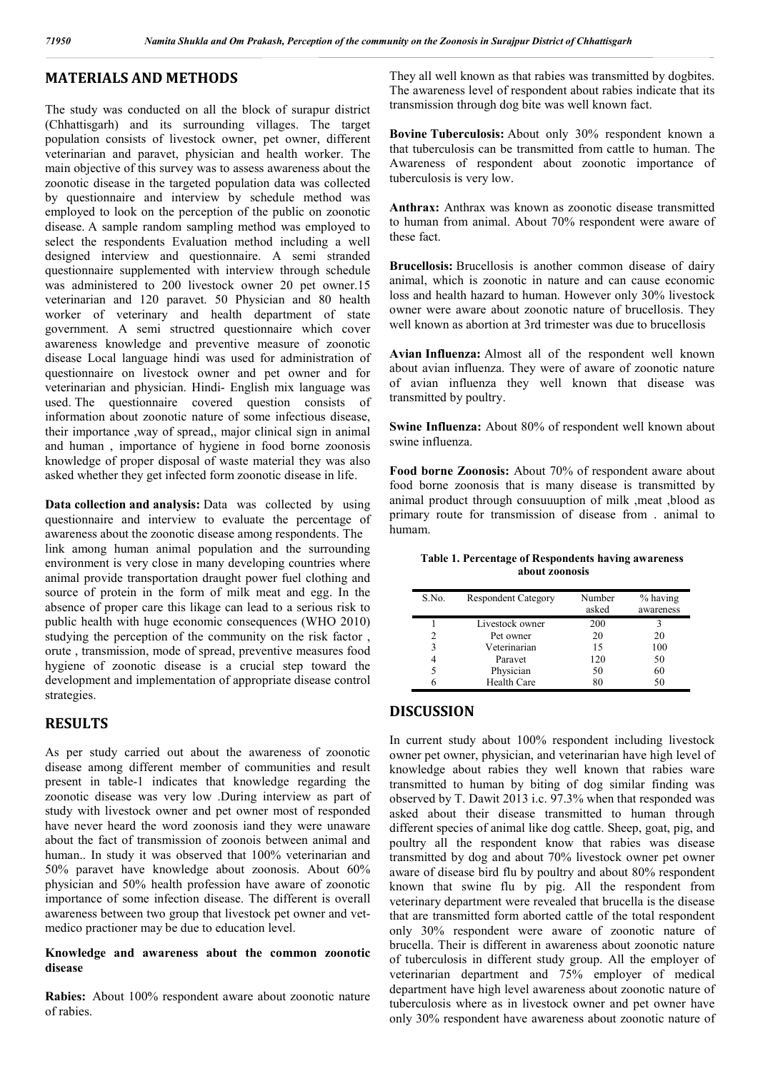## **MATERIALS AND METHODS**

The study was conducted on all the block of surapur district (Chhattisgarh) and its surrounding villages. The target population consists of livestock owner, pet owner, different veterinarian and paravet, physician and health worker. The main objective of this survey was to assess awareness about the zoonotic disease in the targeted population data was collected by questionnaire and interview by schedule method was employed to look on the perception of the public on zoonotic disease. A sample random sampling method was employed to select the respondents Evaluation method including a well designed interview and questionnaire. A semi stranded questionnaire supplemented with interview through schedule was administered to 200 livestock owner 20 pet owner.15 veterinarian and 120 paravet. 50 Physician and 80 health worker of veterinary and health department of state government. A semi structred questionnaire which cover awareness knowledge and preventive measure of zoonotic disease Local language hindi was used for administration of questionnaire on livestock owner and pet owner and for veterinarian and physician. Hindi- English mix language was used. The questionnaire covered question consists of information about zoonotic nature of some infectious disease, their importance ,way of spread,, major clinical sign in animal and human , importance of hygiene in food borne zoonosis knowledge of proper disposal of waste material they was also asked whether they get infected form zoonotic disease in life.

**Data collection and analysis:** Data was collected by using questionnaire and interview to evaluate the percentage of awareness about the zoonotic disease among respondents. The link among human animal population and the surrounding environment is very close in many developing countries where animal provide transportation draught power fuel clothing and source of protein in the form of milk meat and egg. In the absence of proper care this likage can lead to a serious risk to public health with huge economic consequences (WHO 2010) studying the perception of the community on the risk factor, orute , transmission, mode of spread, preventive measures food hygiene of zoonotic disease is a crucial step toward the development and implementation of appropriate disease control strategies.

### **RESULTS**

As per study carried out about the awareness of zoonotic disease among different member of communities and result present in table-1 indicates that knowledge regarding the zoonotic disease was very low .During interview as part of study with livestock owner and pet owner most of responded have never heard the word zoonosis iand they were unaware about the fact of transmission of zoonois between animal and human.. In study it was observed that 100% veterinarian and 50% paravet have knowledge about zoonosis. About 60% physician and 50% health profession have aware of zoonotic importance of some infection disease. The different is overall awareness between two group that livestock pet owner and vetmedico practioner may be due to education level.

#### **Knowledge and awareness about the common zoonotic disease**

**Rabies:** About 100% respondent aware about zoonotic nature of rabies.

They all well known as that rabies was transmitted by dogbites. The awareness level of respondent about rabies indicate that its transmission through dog bite was well known fact.

**Bovine Tuberculosis:** About only 30% respondent known a that tuberculosis can be transmitted from cattle to human. The Awareness of respondent about zoonotic importance of tuberculosis is very low.

**Anthrax:** Anthrax was known as zoonotic disease transmitted to human from animal. About 70% respondent were aware of these fact.

**Brucellosis:** Brucellosis is another common disease of dairy animal, which is zoonotic in nature and can cause economic loss and health hazard to human. However only 30% livestock owner were aware about zoonotic nature of brucellosis. They well known as abortion at 3rd trimester was due to brucellosis

**Avian Influenza:** Almost all of the respondent well known about avian influenza. They were of aware of zoonotic nature of avian influenza they well known that disease was transmitted by poultry.

**Swine Influenza:** About 80% of respondent well known about swine influenza.

**Food borne Zoonosis:** About 70% of respondent aware about food borne zoonosis that is many disease is transmitted by animal product through consuuuption of milk ,meat ,blood as primary route for transmission of disease from . animal to humam.

#### **Table 1. Percentage of Respondents having awareness about zoonosis**

| S.No. | <b>Respondent Category</b> | Number<br>asked | $%$ having<br>awareness |
|-------|----------------------------|-----------------|-------------------------|
|       |                            |                 |                         |
|       | Livestock owner            | 200             |                         |
| 2     | Pet owner                  | 20              | 20                      |
| 3     | Veterinarian               | 15              | 100                     |
| 4     | Paravet                    | 120             | 50                      |
|       | Physician                  | 50              | 60                      |
|       | <b>Health Care</b>         | 80              | 50                      |

### **DISCUSSION**

In current study about 100% respondent including livestock owner pet owner, physician, and veterinarian have high level of knowledge about rabies they well known that rabies ware transmitted to human by biting of dog similar finding was observed by T. Dawit 2013 i.c. 97.3% when that responded was asked about their disease transmitted to human through different species of animal like dog cattle. Sheep, goat, pig, and poultry all the respondent know that rabies was disease transmitted by dog and about 70% livestock owner pet owner aware of disease bird flu by poultry and about 80% respondent known that swine flu by pig. All the respondent from veterinary department were revealed that brucella is the disease that are transmitted form aborted cattle of the total respondent only 30% respondent were aware of zoonotic nature of brucella. Their is different in awareness about zoonotic nature of tuberculosis in different study group. All the employer of veterinarian department and 75% employer of medical department have high level awareness about zoonotic nature of tuberculosis where as in livestock owner and pet owner have only 30% respondent have awareness about zoonotic nature of